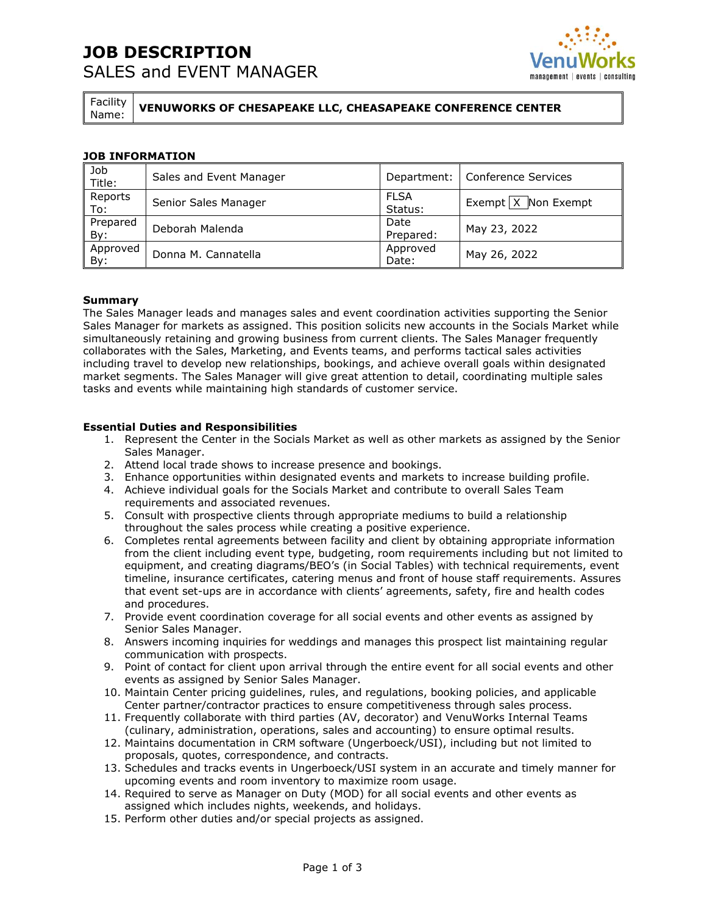## **JOB DESCRIPTION**  SALES and EVENT MANAGER



Facility

Name: **VENUWORKS OF CHESAPEAKE LLC, CHEASAPEAKE CONFERENCE CENTER** 

### **JOB INFORMATION**

| Job<br>Title:   | Sales and Event Manager |                        | Department:   Conference Services |
|-----------------|-------------------------|------------------------|-----------------------------------|
| Reports<br>To:  | Senior Sales Manager    | <b>FLSA</b><br>Status: | Exempt $X$ Non Exempt             |
| Prepared<br>By: | Deborah Malenda         | Date<br>Prepared:      | May 23, 2022                      |
| Approved<br>By: | Donna M. Cannatella     | Approved<br>Date:      | May 26, 2022                      |

#### **Summary**

The Sales Manager leads and manages sales and event coordination activities supporting the Senior Sales Manager for markets as assigned. This position solicits new accounts in the Socials Market while simultaneously retaining and growing business from current clients. The Sales Manager frequently collaborates with the Sales, Marketing, and Events teams, and performs tactical sales activities including travel to develop new relationships, bookings, and achieve overall goals within designated market segments. The Sales Manager will give great attention to detail, coordinating multiple sales tasks and events while maintaining high standards of customer service.

#### **Essential Duties and Responsibilities**

- 1. Represent the Center in the Socials Market as well as other markets as assigned by the Senior Sales Manager.
- 2. Attend local trade shows to increase presence and bookings.
- 3. Enhance opportunities within designated events and markets to increase building profile.
- 4. Achieve individual goals for the Socials Market and contribute to overall Sales Team requirements and associated revenues.
- 5. Consult with prospective clients through appropriate mediums to build a relationship throughout the sales process while creating a positive experience.
- 6. Completes rental agreements between facility and client by obtaining appropriate information from the client including event type, budgeting, room requirements including but not limited to equipment, and creating diagrams/BEO's (in Social Tables) with technical requirements, event timeline, insurance certificates, catering menus and front of house staff requirements. Assures that event set-ups are in accordance with clients' agreements, safety, fire and health codes and procedures.
- 7. Provide event coordination coverage for all social events and other events as assigned by Senior Sales Manager.
- 8. Answers incoming inquiries for weddings and manages this prospect list maintaining regular communication with prospects.
- 9. Point of contact for client upon arrival through the entire event for all social events and other events as assigned by Senior Sales Manager.
- 10. Maintain Center pricing guidelines, rules, and regulations, booking policies, and applicable Center partner/contractor practices to ensure competitiveness through sales process.
- 11. Frequently collaborate with third parties (AV, decorator) and VenuWorks Internal Teams (culinary, administration, operations, sales and accounting) to ensure optimal results.
- 12. Maintains documentation in CRM software (Ungerboeck/USI), including but not limited to proposals, quotes, correspondence, and contracts.
- 13. Schedules and tracks events in Ungerboeck/USI system in an accurate and timely manner for upcoming events and room inventory to maximize room usage.
- 14. Required to serve as Manager on Duty (MOD) for all social events and other events as assigned which includes nights, weekends, and holidays.
- 15. Perform other duties and/or special projects as assigned.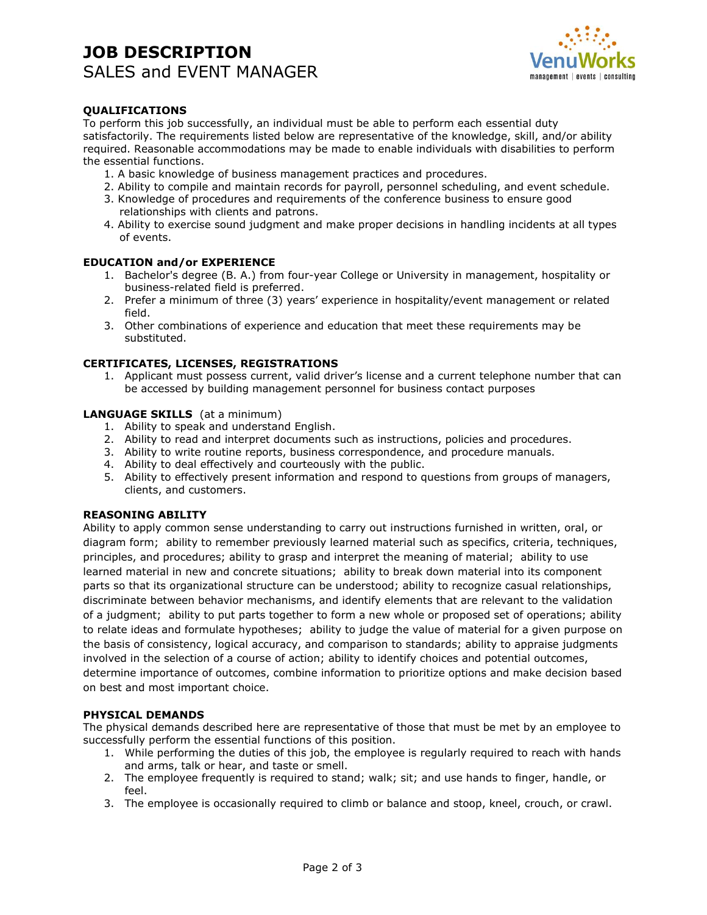## **JOB DESCRIPTION**  SALES and EVENT MANAGER



### **QUALIFICATIONS**

To perform this job successfully, an individual must be able to perform each essential duty satisfactorily. The requirements listed below are representative of the knowledge, skill, and/or ability required. Reasonable accommodations may be made to enable individuals with disabilities to perform the essential functions.

- 1. A basic knowledge of business management practices and procedures.
- 2. Ability to compile and maintain records for payroll, personnel scheduling, and event schedule.
- 3. Knowledge of procedures and requirements of the conference business to ensure good relationships with clients and patrons.
- 4. Ability to exercise sound judgment and make proper decisions in handling incidents at all types of events.

#### **EDUCATION and/or EXPERIENCE**

- 1. Bachelor's degree (B. A.) from four-year College or University in management, hospitality or business-related field is preferred.
- 2. Prefer a minimum of three (3) years' experience in hospitality/event management or related field.
- 3. Other combinations of experience and education that meet these requirements may be substituted.

#### **CERTIFICATES, LICENSES, REGISTRATIONS**

1. Applicant must possess current, valid driver's license and a current telephone number that can be accessed by building management personnel for business contact purposes

#### **LANGUAGE SKILLS** (at a minimum)

- 1. Ability to speak and understand English.
- 2. Ability to read and interpret documents such as instructions, policies and procedures.
- 3. Ability to write routine reports, business correspondence, and procedure manuals.
- 4. Ability to deal effectively and courteously with the public.
- 5. Ability to effectively present information and respond to questions from groups of managers, clients, and customers.

#### **REASONING ABILITY**

Ability to apply common sense understanding to carry out instructions furnished in written, oral, or diagram form; ability to remember previously learned material such as specifics, criteria, techniques, principles, and procedures; ability to grasp and interpret the meaning of material; ability to use learned material in new and concrete situations; ability to break down material into its component parts so that its organizational structure can be understood; ability to recognize casual relationships, discriminate between behavior mechanisms, and identify elements that are relevant to the validation of a judgment; ability to put parts together to form a new whole or proposed set of operations; ability to relate ideas and formulate hypotheses; ability to judge the value of material for a given purpose on the basis of consistency, logical accuracy, and comparison to standards; ability to appraise judgments involved in the selection of a course of action; ability to identify choices and potential outcomes, determine importance of outcomes, combine information to prioritize options and make decision based on best and most important choice.

#### **PHYSICAL DEMANDS**

The physical demands described here are representative of those that must be met by an employee to successfully perform the essential functions of this position.

- 1. While performing the duties of this job, the employee is regularly required to reach with hands and arms, talk or hear, and taste or smell.
- 2. The employee frequently is required to stand; walk; sit; and use hands to finger, handle, or feel.
- 3. The employee is occasionally required to climb or balance and stoop, kneel, crouch, or crawl.